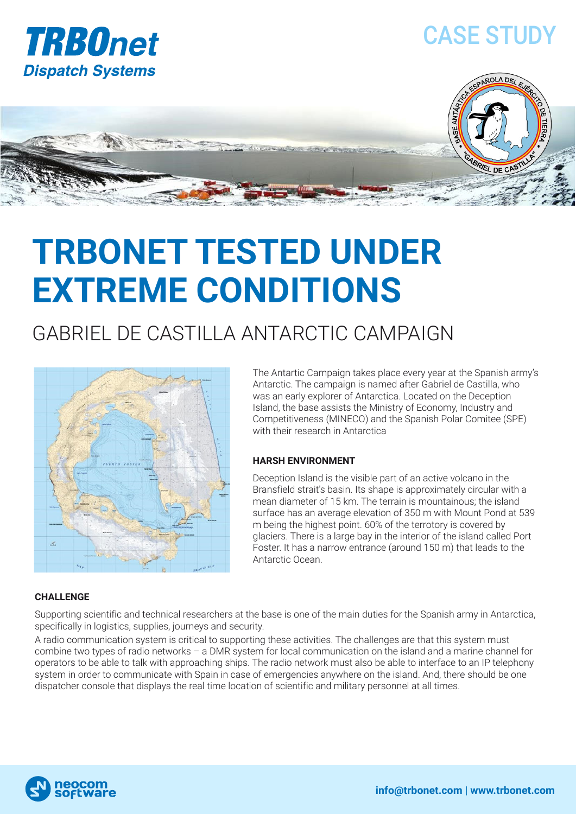

## CASE STUDY

PAÑOLA DEL



# **TRBONET TESTED UNDER EXTREME CONDITIONS**

### GABRIEL DE CASTILLA ANTARCTIC CAMPAIGN



The Antartic Campaign takes place every year at the Spanish army's Antarctic. The campaign is named after Gabriel de Castilla, who was an early explorer of Antarctica. Located on the Deception Island, the base assists the Ministry of Economy, Industry and Competitiveness (MINECO) and the Spanish Polar Comitee (SPE) with their research in Antarctica

#### **HARSH ENVIRONMENT**

Deception Island is the visible part of an active volcano in the Bransfield strait's basin. Its shape is approximately circular with a mean diameter of 15 km. The terrain is mountainous; the island surface has an average elevation of 350 m with Mount Pond at 539 m being the highest point. 60% of the terrotory is covered by glaciers. There is a large bay in the interior of the island called Port Foster. It has a narrow entrance (around 150 m) that leads to the Antarctic Ocean.

#### **CHALLENGE**

Supporting scientific and technical researchers at the base is one of the main duties for the Spanish army in Antarctica, specifically in logistics, supplies, journeys and security.

A radio communication system is critical to supporting these activities. The challenges are that this system must combine two types of radio networks – a DMR system for local communication on the island and a marine channel for operators to be able to talk with approaching ships. The radio network must also be able to interface to an IP telephony system in order to communicate with Spain in case of emergencies anywhere on the island. And, there should be one dispatcher console that displays the real time location of scientific and military personnel at all times.